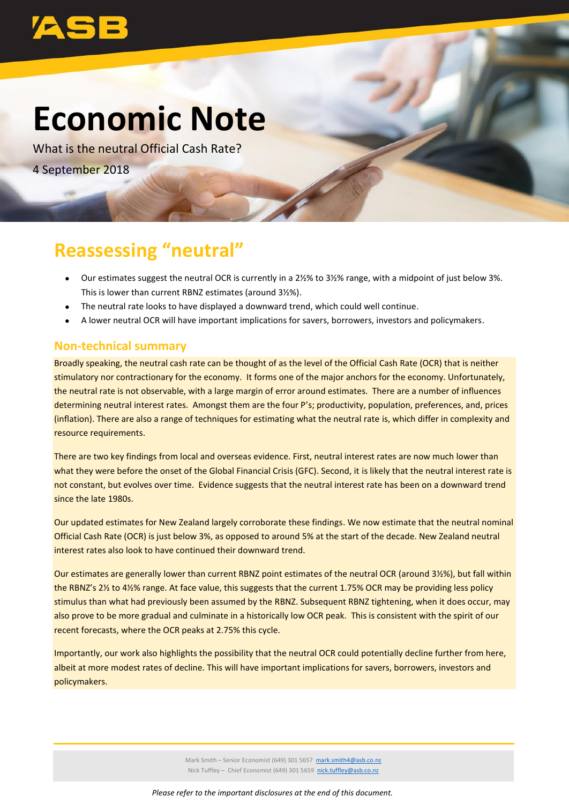

# **Economic Note**

What is the neutral Official Cash Rate? 4 September 2018

# **Reassessing "neutral"**

- Our estimates suggest the neutral OCR is currently in a 2½% to 3½% range, with a midpoint of just below 3%. This is lower than current RBNZ estimates (around 3½%).
- The neutral rate looks to have displayed a downward trend, which could well continue.
- A lower neutral OCR will have important implications for savers, borrowers, investors and policymakers.

#### **Non-technical summary**

Broadly speaking, the neutral cash rate can be thought of as the level of the Official Cash Rate (OCR) that is neither stimulatory nor contractionary for the economy. It forms one of the major anchors for the economy. Unfortunately, the neutral rate is not observable, with a large margin of error around estimates. There are a number of influences determining neutral interest rates. Amongst them are the four P's; productivity, population, preferences, and, prices (inflation). There are also a range of techniques for estimating what the neutral rate is, which differ in complexity and resource requirements.

There are two key findings from local and overseas evidence. First, neutral interest rates are now much lower than what they were before the onset of the Global Financial Crisis (GFC). Second, it is likely that the neutral interest rate is not constant, but evolves over time. Evidence suggests that the neutral interest rate has been on a downward trend since the late 1980s.

Our updated estimates for New Zealand largely corroborate these findings. We now estimate that the neutral nominal Official Cash Rate (OCR) is just below 3%, as opposed to around 5% at the start of the decade. New Zealand neutral interest rates also look to have continued their downward trend.

Our estimates are generally lower than current RBNZ point estimates of the neutral OCR (around 3½%), but fall within the RBNZ's 2½ to 4½% range. At face value, this suggests that the current 1.75% OCR may be providing less policy stimulus than what had previously been assumed by the RBNZ. Subsequent RBNZ tightening, when it does occur, may also prove to be more gradual and culminate in a historically low OCR peak. This is consistent with the spirit of our recent forecasts, where the OCR peaks at 2.75% this cycle.

Importantly, our work also highlights the possibility that the neutral OCR could potentially decline further from here, albeit at more modest rates of decline. This will have important implications for savers, borrowers, investors and policymakers.

> Mark Smith – Senior Economist (649) 301 5657 [mark.smith4@asb.co.nz](mailto:mark.smith4@asb.co.nz) Nick Tuffley - Chief Economist (649) 301 5659 [nick.tuffley@asb.co.nz](mailto:nick.tuffley@asb.co.nz)

*Please refer to the important disclosures at the end of this document.*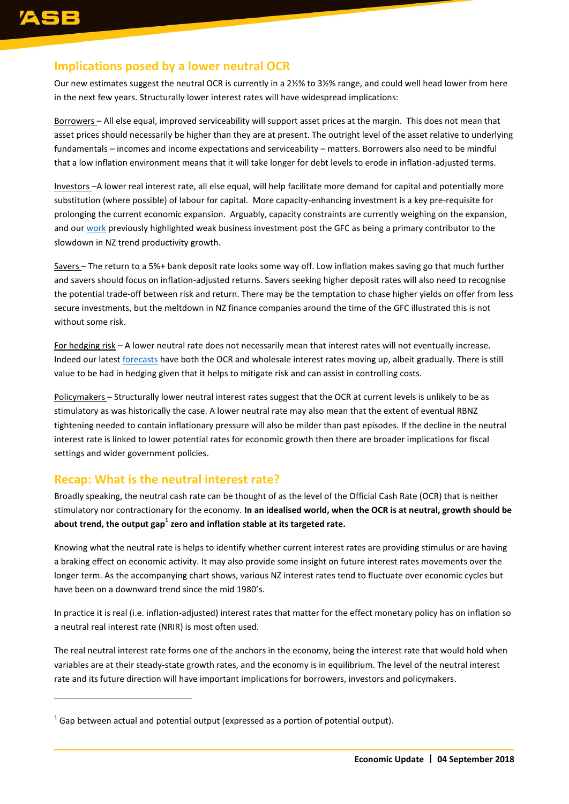$\overline{a}$ 

## **Implications posed by a lower neutral OCR**

Our new estimates suggest the neutral OCR is currently in a 2½% to 3½% range, and could well head lower from here in the next few years. Structurally lower interest rates will have widespread implications:

Borrowers – All else equal, improved serviceability will support asset prices at the margin. This does not mean that asset prices should necessarily be higher than they are at present. The outright level of the asset relative to underlying fundamentals – incomes and income expectations and serviceability – matters. Borrowers also need to be mindful that a low inflation environment means that it will take longer for debt levels to erode in inflation-adjusted terms.

Investors –A lower real interest rate, all else equal, will help facilitate more demand for capital and potentially more substitution (where possible) of labour for capital. More capacity-enhancing investment is a key pre-requisite for prolonging the current economic expansion. Arguably, capacity constraints are currently weighing on the expansion, and ou[r work](http://www.asb.co.nz/content/dam/asb/documents/reports/economic-note/Productivity%20-%20Apr%202018.pdf) previously highlighted weak business investment post the GFC as being a primary contributor to the slowdown in NZ trend [productivity growth.](http://www.asb.co.nz/content/dam/asb/documents/reports/economic-note/Productivity%20-%20Apr%202018.pdf)

Savers – The return to a 5%+ bank deposit rate looks some way off. Low inflation makes saving go that much further and savers should focus on inflation-adjusted returns. Savers seeking higher deposit rates will also need to recognise the potential trade-off between risk and return. There may be the temptation to chase higher yields on offer from less secure investments, but the meltdown in NZ finance companies around the time of the GFC illustrated this is not without some risk.

For hedging risk - A lower neutral rate does not necessarily mean that interest rates will not eventually increase. Indeed our latest [forecasts](http://www.asb.co.nz/content/dam/asb/documents/reports/quarterly-economic-forecasts/quarterly_economic_forecasts_aug_2018.pdf) have both the OCR and wholesale interest rates moving up, albeit gradually. There is still value to be had in hedging given that it helps to mitigate risk and can assist in controlling costs.

Policymakers – Structurally lower neutral interest rates suggest that the OCR at current levels is unlikely to be as stimulatory as was historically the case. A lower neutral rate may also mean that the extent of eventual RBNZ tightening needed to contain inflationary pressure will also be milder than past episodes. If the decline in the neutral interest rate is linked to lower potential rates for economic growth then there are broader implications for fiscal settings and wider government policies.

## **Recap: What is the neutral interest rate?**

Broadly speaking, the neutral cash rate can be thought of as the level of the Official Cash Rate (OCR) that is neither stimulatory nor contractionary for the economy. **In an idealised world, when the OCR is at neutral, growth should be about trend, the output gap<sup>1</sup> zero and inflation stable at its targeted rate.**

Knowing what the neutral rate is helps to identify whether current interest rates are providing stimulus or are having a braking effect on economic activity. It may also provide some insight on future interest rates movements over the longer term. As the accompanying chart shows, various NZ interest rates tend to fluctuate over economic cycles but have been on a downward trend since the mid 1980's.

In practice it is real (i.e. inflation-adjusted) interest rates that matter for the effect monetary policy has on inflation so a neutral real interest rate (NRIR) is most often used.

The real neutral interest rate forms one of the anchors in the economy, being the interest rate that would hold when variables are at their steady-state growth rates, and the economy is in equilibrium. The level of the neutral interest rate and its future direction will have important implications for borrowers, investors and policymakers.

 $^1$  Gap between actual and potential output (expressed as a portion of potential output).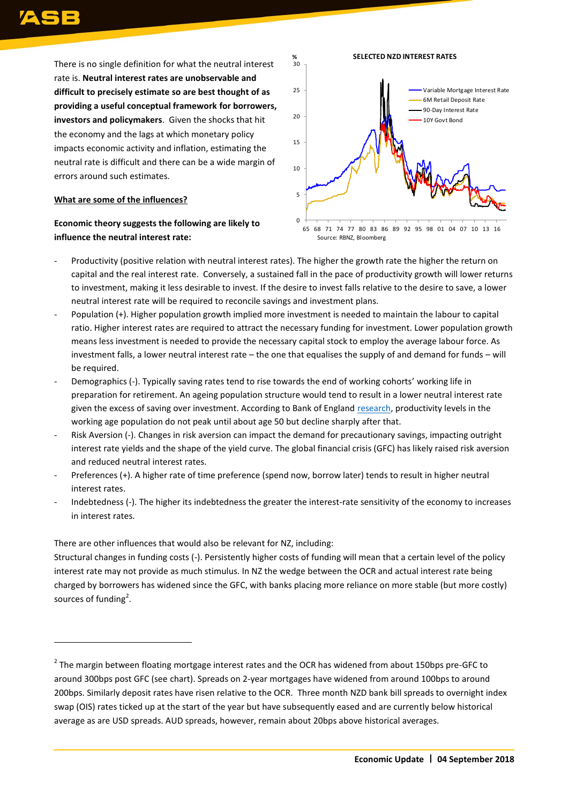$\overline{a}$ 

There is no single definition for what the neutral interest rate is. **Neutral interest rates are unobservable and difficult to precisely estimate so are best thought of as providing a useful conceptual framework for borrowers, investors and policymakers**. Given the shocks that hit the economy and the lags at which monetary policy impacts economic activity and inflation, estimating the neutral rate is difficult and there can be a wide margin of errors around such estimates.

#### **What are some of the influences?**

#### **Economic theory suggests the following are likely to influence the neutral interest rate:**



- Productivity (positive relation with neutral interest rates). The higher the growth rate the higher the return on capital and the real interest rate. Conversely, a sustained fall in the pace of productivity growth will lower returns to investment, making it less desirable to invest. If the desire to invest falls relative to the desire to save, a lower neutral interest rate will be required to reconcile savings and investment plans.
- Population (+). Higher population growth implied more investment is needed to maintain the labour to capital ratio. Higher interest rates are required to attract the necessary funding for investment. Lower population growth means less investment is needed to provide the necessary capital stock to employ the average labour force. As investment falls, a lower neutral interest rate – the one that equalises the supply of and demand for funds – will be required.
- Demographics (-). Typically saving rates tend to rise towards the end of working cohorts' working life in preparation for retirement. An ageing population structure would tend to result in a lower neutral interest rate given the excess of saving over investment. According to Bank of England [research,](http://www.bankofengland.co.uk/-/media/boe/files/working-paper/2017/demographic-trends-and-the-real-interest-rate.pdf) productivity levels in the working age population do not peak until about age 50 but decline sharply after that.
- Risk Aversion (-). Changes in risk aversion can impact the demand for precautionary savings, impacting outright interest rate yields and the shape of the yield curve. The global financial crisis (GFC) has likely raised risk aversion and reduced neutral interest rates.
- Preferences (+). A higher rate of time preference (spend now, borrow later) tends to result in higher neutral interest rates.
- Indebtedness (-). The higher its indebtedness the greater the interest-rate sensitivity of the economy to increases in interest rates.

There are other influences that would also be relevant for NZ, including:

Structural changes in funding costs (-). Persistently higher costs of funding will mean that a certain level of the policy interest rate may not provide as much stimulus. In NZ the wedge between the OCR and actual interest rate being charged by borrowers has widened since the GFC, with banks placing more reliance on more stable (but more costly) sources of funding<sup>2</sup>.

 $^2$  The margin between floating mortgage interest rates and the OCR has widened from about 150bps pre-GFC to around 300bps post GFC (see chart). Spreads on 2-year mortgages have widened from around 100bps to around 200bps. Similarly deposit rates have risen relative to the OCR. Three month NZD bank bill spreads to overnight index swap (OIS) rates ticked up at the start of the year but have subsequently eased and are currently below historical average as are USD spreads. AUD spreads, however, remain about 20bps above historical averages.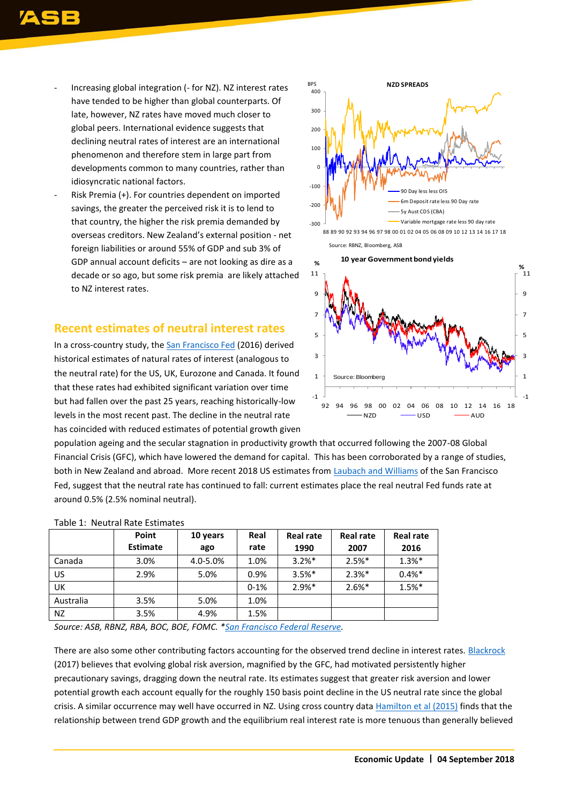- Increasing global integration (- for NZ). NZ interest rates have tended to be higher than global counterparts. Of late, however, NZ rates have moved much closer to global peers. International evidence suggests that declining neutral rates of interest are an international phenomenon and therefore stem in large part from developments common to many countries, rather than idiosyncratic national factors.
- Risk Premia (+). For countries dependent on imported savings, the greater the perceived risk it is to lend to that country, the higher the risk premia demanded by overseas creditors. New Zealand's external position - net foreign liabilities or around 55% of GDP and sub 3% of GDP annual account deficits – are not looking as dire as a decade or so ago, but some risk premia are likely attached to NZ interest rates.

## **Recent estimates of neutral interest rates**

In a cross-country study, the [San Francisco Fed](http://www.frbsf.org/economic-research/files/wp2016-11.pdf) (2016) derived historical estimates of natural rates of interest (analogous to the neutral rate) for the US, UK, Eurozone and Canada. It found that these rates had exhibited significant variation over time but had fallen over the past 25 years, reaching historically-low levels in the most recent past. The decline in the neutral rate has coincided with reduced estimates of potential growth given



Source: RBNZ, Bloomberg, ASB



population ageing and the secular stagnation in productivity growth that occurred following the 2007-08 Global Financial Crisis (GFC), which have lowered the demand for capital. This has been corroborated by a range of studies, both in New Zealand and abroad. More recent 2018 US estimates from [Laubach and Williams](http://www.frbsf.org/economic-research/.../Holston_Laubach_Williams_estimates.xls...) of the San Francisco Fed, suggest that the neutral rate has continued to fall: current estimates place the real neutral Fed funds rate at around 0.5% (2.5% nominal neutral).

|           | Point           | 10 years | Real   | <b>Real rate</b> | <b>Real rate</b> | <b>Real rate</b> |
|-----------|-----------------|----------|--------|------------------|------------------|------------------|
|           | <b>Estimate</b> | ago      | rate   | 1990             | 2007             | 2016             |
| Canada    | 3.0%            | 4.0-5.0% | 1.0%   | $3.2%$ *         | $2.5%$ *         | $1.3%$ *         |
| US        | 2.9%            | 5.0%     | 0.9%   | $3.5%$ *         | $2.3%$ *         | $0.4%$ *         |
| UK.       |                 |          | $0-1%$ | $2.9%$ *         | $2.6%$ *         | 1.5%*            |
| Australia | 3.5%            | 5.0%     | 1.0%   |                  |                  |                  |
| NZ.       | 3.5%            | 4.9%     | 1.5%   |                  |                  |                  |

#### Table 1: Neutral Rate Estimates

*Source: ASB, RBNZ, RBA, BOC, BOE, FOMC. [\\*San Francisco Federal Reserve.](http://www.frbsf.org/economic-research/files/wp2016-11.pdf)*

There are also some other contributing factors accounting for the observed trend decline in interest rates. Blackrock (2017) believes that evolving global risk aversion, magnified by the GFC, had motivated persistently higher precautionary savings, dragging down the neutral rate. Its estimates suggest that greater risk aversion and lower potential growth each account equally for the roughly 150 basis point decline in the US neutral rate since the global crisis. A similar occurrence may well have occurred in NZ. Using cross country data [Hamilton et al \(2015\)](http://www.nber.org/papers/w21476) finds that the relationship between trend GDP growth and the equilibrium real interest rate is more tenuous than generally believed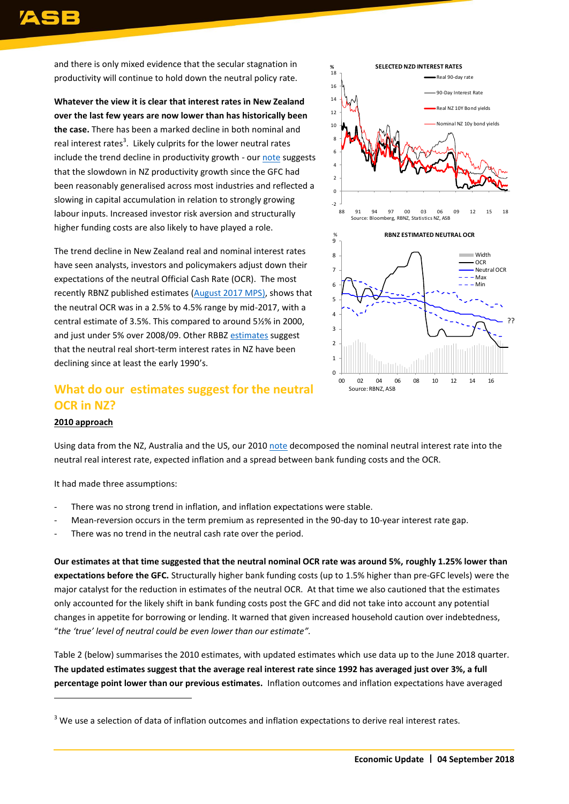and there is only mixed evidence that the secular stagnation in productivity will continue to hold down the neutral policy rate.

**Whatever the view it is clear that interest rates in New Zealand over the last few years are now lower than has historically been the case.** There has been a marked decline in both nominal and real interest rates<sup>3</sup>. Likely culprits for the lower neutral rates include the trend decline in productivity growth - ou[r note](http://www.asb.co.nz/content/dam/asb/documents/reports/economic-note/Productivity%20-%20Apr%202018.pdf) suggests that the slowdown in NZ productivity growth since the GFC had been reasonably generalised across most industries and reflected a slowing in capital accumulation in relation to strongly growing labour inputs. Increased investor risk aversion and structurally higher funding costs are also likely to have played a role.

The trend decline in New Zealand real and nominal interest rates have seen analysts, investors and policymakers adjust down their expectations of the neutral Official Cash Rate (OCR). The most recently RBNZ published estimates [\(August](http://www.rbnz.govt.nz/-/media/ReserveBank/Files/Publications/Monetary%20policy%20statements/2017/mpsaug17.pdf) 2017 MPS), shows that the neutral OCR was in a 2.5% to 4.5% range by mid-2017, with a central estimate of 3.5%. This compared to around 5½% in 2000, and just under 5% over 2008/09. Other RBBZ [estimates](http://www.rbnz.govt.nz/-/media/ReserveBank/Files/Publications/Analytical%20notes/2013/an2013-07.pdf) suggest that the neutral real short-term interest rates in NZ have been declining since at least the early 1990's.

## **What do our estimates suggest for the neutral OCR in NZ?**



#### **2010 approach**

 $\overline{a}$ 

Using data from the NZ, Australia and the US, our 2010 [note](https://reports.asb.co.nz/tp/download/239034/.../Neutral-OCR_Mar10.pdf) decomposed the nominal neutral interest rate into the neutral real interest rate, expected inflation and a spread between bank funding costs and the OCR.

It had made three assumptions:

- There was no strong trend in inflation, and inflation expectations were stable.
- Mean-reversion occurs in the term premium as represented in the 90-day to 10-year interest rate gap.
- There was no trend in the neutral cash rate over the period.

**Our estimates at that time suggested that the neutral nominal OCR rate was around 5%, roughly 1.25% lower than expectations before the GFC.** Structurally higher bank funding costs (up to 1.5% higher than pre-GFC levels) were the major catalyst for the reduction in estimates of the neutral OCR. At that time we also cautioned that the estimates only accounted for the likely shift in bank funding costs post the GFC and did not take into account any potential changes in appetite for borrowing or lending. It warned that given increased household caution over indebtedness, "*the 'true' level of neutral could be even lower than our estimate".*

Table 2 (below) summarises the 2010 estimates, with updated estimates which use data up to the June 2018 quarter. **The updated estimates suggest that the average real interest rate since 1992 has averaged just over 3%, a full percentage point lower than our previous estimates.** Inflation outcomes and inflation expectations have averaged

 $3$  We use a selection of data of inflation outcomes and inflation expectations to derive real interest rates.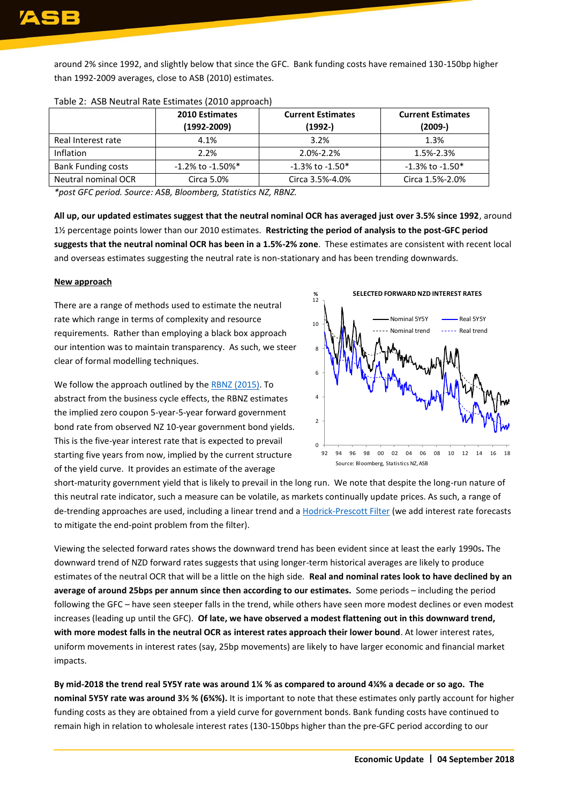around 2% since 1992, and slightly below that since the GFC. Bank funding costs have remained 130-150bp higher than 1992-2009 averages, close to ASB (2010) estimates.

|                           | <b>2010 Estimates</b><br>$(1992 - 2009)$ | <b>Current Estimates</b><br>$(1992 - )$ | <b>Current Estimates</b><br>$(2009-)$ |
|---------------------------|------------------------------------------|-----------------------------------------|---------------------------------------|
| Real Interest rate        | 4.1%                                     | 3.2%                                    | 1.3%                                  |
| <b>Inflation</b>          | 2.2%                                     | 2.0%-2.2%                               | 1.5%-2.3%                             |
| <b>Bank Funding costs</b> | $-1.2\%$ to $-1.50\%$ <sup>*</sup>       | $-1.3\%$ to $-1.50*$                    | $-1.3\%$ to $-1.50*$                  |
| Neutral nominal OCR       | Circa 5.0%                               | Circa 3.5%-4.0%                         | Circa 1.5%-2.0%                       |

#### Table 2: ASB Neutral Rate Estimates (2010 approach)

*\*post GFC period. Source: ASB, Bloomberg, Statistics NZ, RBNZ.* 

**All up, our updated estimates suggest that the neutral nominal OCR has averaged just over 3.5% since 1992**, around 1½ percentage points lower than our 2010 estimates. **Restricting the period of analysis to the post-GFC period suggests that the neutral nominal OCR has been in a 1.5%-2% zone**. These estimates are consistent with recent local and overseas estimates suggesting the neutral rate is non-stationary and has been trending downwards.

#### **New approach**

There are a range of methods used to estimate the neutral rate which range in terms of complexity and resource requirements. Rather than employing a black box approach our intention was to maintain transparency. As such, we steer clear of formal modelling techniques.

We follow the approach outlined by the [RBNZ \(2015\).](https://www.rbnz.govt.nz/-/media/ReserveBank/Files/Publications/Analytical%20notes/2015/an2015-05.pdf) To abstract from the business cycle effects, the RBNZ estimates the implied zero coupon 5-year-5-year forward government bond rate from observed NZ 10-year government bond yields. This is the five-year interest rate that is expected to prevail starting five years from now, implied by the current structure of the yield curve. It provides an estimate of the average



short-maturity government yield that is likely to prevail in the long run. We note that despite the long-run nature of this neutral rate indicator, such a measure can be volatile, as markets continually update prices. As such, a range of de-trending approaches are used, including a linear trend and [a Hodrick-Prescott Filter](http://www.eviews.com/help/helpintro.html#page/content/series-Hodrick-Prescott_Filter.html) (we add interest rate forecasts to mitigate the end-point problem from the filter).

Viewing the selected forward rates shows the downward trend has been evident since at least the early 1990s**.** The downward trend of NZD forward rates suggests that using longer-term historical averages are likely to produce estimates of the neutral OCR that will be a little on the high side. **Real and nominal rates look to have declined by an average of around 25bps per annum since then according to our estimates.** Some periods – including the period following the GFC – have seen steeper falls in the trend, while others have seen more modest declines or even modest increases (leading up until the GFC). **Of late, we have observed a modest flattening out in this downward trend, with more modest falls in the neutral OCR as interest rates approach their lower bound**. At lower interest rates, uniform movements in interest rates (say, 25bp movements) are likely to have larger economic and financial market impacts.

**By mid-2018 the trend real 5Y5Y rate was around 1¼ % as compared to around 4¼% a decade or so ago. The nominal 5Y5Y rate was around 3½ % (6¾%).** It is important to note that these estimates only partly account for higher funding costs as they are obtained from a yield curve for government bonds. Bank funding costs have continued to remain high in relation to wholesale interest rates (130-150bps higher than the pre-GFC period according to our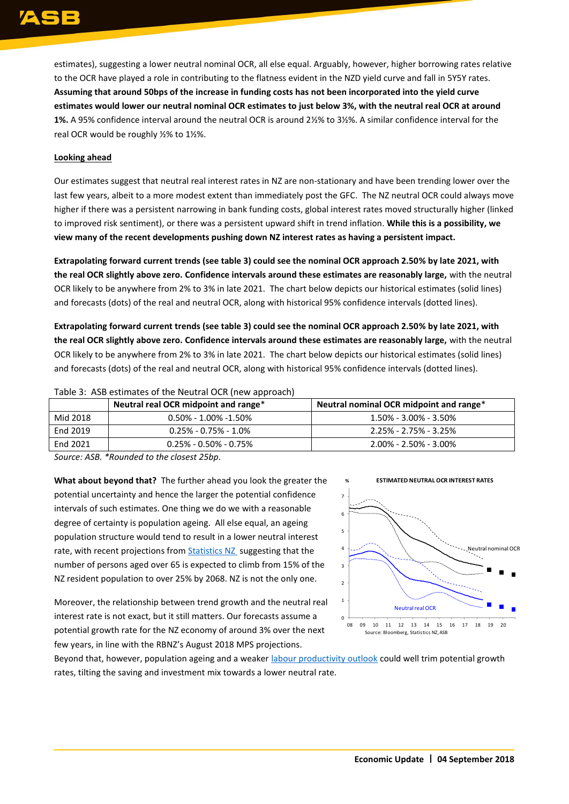estimates), suggesting a lower neutral nominal OCR, all else equal. Arguably, however, higher borrowing rates relative to the OCR have played a role in contributing to the flatness evident in the NZD yield curve and fall in 5Y5Y rates. **Assuming that around 50bps of the increase in funding costs has not been incorporated into the yield curve estimates would lower our neutral nominal OCR estimates to just below 3%, with the neutral real OCR at around 1%.** A 95% confidence interval around the neutral OCR is around 2½% to 3½%. A similar confidence interval for the real OCR would be roughly ½% to 1½%.

#### **Looking ahead**

Our estimates suggest that neutral real interest rates in NZ are non-stationary and have been trending lower over the last few years, albeit to a more modest extent than immediately post the GFC. The NZ neutral OCR could always move higher if there was a persistent narrowing in bank funding costs, global interest rates moved structurally higher (linked to improved risk sentiment), or there was a persistent upward shift in trend inflation. **While this is a possibility, we view many of the recent developments pushing down NZ interest rates as having a persistent impact.** 

**Extrapolating forward current trends (see table 3) could see the nominal OCR approach 2.50% by late 2021, with the real OCR slightly above zero. Confidence intervals around these estimates are reasonably large,** with the neutral OCR likely to be anywhere from 2% to 3% in late 2021. The chart below depicts our historical estimates (solid lines) and forecasts (dots) of the real and neutral OCR, along with historical 95% confidence intervals (dotted lines).

**Extrapolating forward current trends (see table 3) could see the nominal OCR approach 2.50% by late 2021, with the real OCR slightly above zero. Confidence intervals around these estimates are reasonably large,** with the neutral OCR likely to be anywhere from 2% to 3% in late 2021. The chart below depicts our historical estimates (solid lines) and forecasts (dots) of the real and neutral OCR, along with historical 95% confidence intervals (dotted lines).

|          | Neutral real OCR midpoint and range* | Neutral nominal OCR midpoint and range* |
|----------|--------------------------------------|-----------------------------------------|
| Mid 2018 | $0.50\%$ - 1.00% -1.50%              | 1.50% - 3.00% - 3.50%                   |
| End 2019 | $0.25\%$ - $0.75\%$ - $1.0\%$        | 2.25% - 2.75% - 3.25%                   |
| End 2021 | $0.25\%$ - 0.50% - 0.75%             | 2.00% - 2.50% - 3.00%                   |

Table 3: ASB estimates of the Neutral OCR (new approach)

*Source: ASB. \*Rounded to the closest 25bp.*

**What about beyond that?** The further ahead you look the greater the potential uncertainty and hence the larger the potential confidence intervals of such estimates. One thing we do we with a reasonable degree of certainty is population ageing. All else equal, an ageing population structure would tend to result in a lower neutral interest rate, with recent projections from **Statistics NZ** suggesting that the number of persons aged over 65 is expected to climb from 15% of the NZ resident population to over 25% by 2068. NZ is not the only one.

Moreover, the relationship between trend growth and the neutral real interest rate is not exact, but it still matters. Our forecasts assume a potential growth rate for the NZ economy of around 3% over the next few years, in line with the RBNZ's August 2018 MPS projections.



Beyond that, however, population ageing and a weaker [labour productivity outlook](http://www.asb.co.nz/content/dam/asb/documents/reports/economic-note/Productivity%20-%20Apr%202018.pdf) could well trim potential growth rates, tilting the saving and investment mix towards a lower neutral rate.